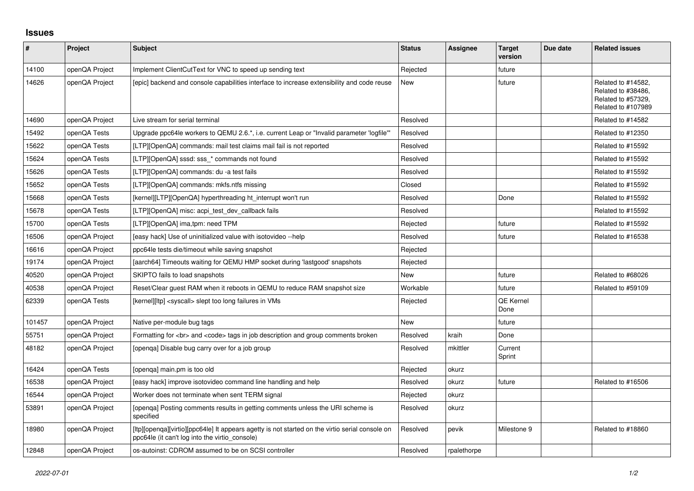## **Issues**

| #      | Project        | <b>Subject</b>                                                                                                                                    | <b>Status</b> | <b>Assignee</b> | <b>Target</b><br>version | Due date | <b>Related issues</b>                                                                |
|--------|----------------|---------------------------------------------------------------------------------------------------------------------------------------------------|---------------|-----------------|--------------------------|----------|--------------------------------------------------------------------------------------|
| 14100  | openQA Project | Implement ClientCutText for VNC to speed up sending text                                                                                          | Rejected      |                 | future                   |          |                                                                                      |
| 14626  | openQA Project | [epic] backend and console capabilities interface to increase extensibility and code reuse                                                        | New           |                 | future                   |          | Related to #14582,<br>Related to #38486,<br>Related to #57329,<br>Related to #107989 |
| 14690  | openQA Project | Live stream for serial terminal                                                                                                                   | Resolved      |                 |                          |          | Related to #14582                                                                    |
| 15492  | openQA Tests   | Upgrade ppc64le workers to QEMU 2.6.*, i.e. current Leap or "Invalid parameter 'logfile'"                                                         | Resolved      |                 |                          |          | Related to #12350                                                                    |
| 15622  | openQA Tests   | [LTP][OpenQA] commands: mail test claims mail fail is not reported                                                                                | Resolved      |                 |                          |          | Related to #15592                                                                    |
| 15624  | openQA Tests   | [LTP][OpenQA] sssd: sss * commands not found                                                                                                      | Resolved      |                 |                          |          | Related to #15592                                                                    |
| 15626  | openQA Tests   | [LTP][OpenQA] commands: du -a test fails                                                                                                          | Resolved      |                 |                          |          | Related to #15592                                                                    |
| 15652  | openQA Tests   | [LTP][OpenQA] commands: mkfs.ntfs missing                                                                                                         | Closed        |                 |                          |          | Related to #15592                                                                    |
| 15668  | openQA Tests   | [kernel][LTP][OpenQA] hyperthreading ht interrupt won't run                                                                                       | Resolved      |                 | Done                     |          | Related to #15592                                                                    |
| 15678  | openQA Tests   | [LTP][OpenQA] misc: acpi test dev callback fails                                                                                                  | Resolved      |                 |                          |          | Related to #15592                                                                    |
| 15700  | openQA Tests   | [LTP][OpenQA] ima,tpm: need TPM                                                                                                                   | Rejected      |                 | future                   |          | Related to #15592                                                                    |
| 16506  | openQA Project | [easy hack] Use of uninitialized value with isotovideo --help                                                                                     | Resolved      |                 | future                   |          | Related to #16538                                                                    |
| 16616  | openQA Project | ppc64le tests die/timeout while saving snapshot                                                                                                   | Rejected      |                 |                          |          |                                                                                      |
| 19174  | openQA Project | [aarch64] Timeouts waiting for QEMU HMP socket during 'lastgood' snapshots                                                                        | Rejected      |                 |                          |          |                                                                                      |
| 40520  | openQA Project | SKIPTO fails to load snapshots                                                                                                                    | New           |                 | future                   |          | Related to #68026                                                                    |
| 40538  | openQA Project | Reset/Clear guest RAM when it reboots in QEMU to reduce RAM snapshot size                                                                         | Workable      |                 | future                   |          | Related to #59109                                                                    |
| 62339  | openQA Tests   | [kernel][ltp] <syscall> slept too long failures in VMs</syscall>                                                                                  | Rejected      |                 | <b>QE Kernel</b><br>Done |          |                                                                                      |
| 101457 | openQA Project | Native per-module bug tags                                                                                                                        | New           |                 | future                   |          |                                                                                      |
| 55751  | openQA Project | Formatting for<br>> and <code> tags in job description and group comments broken</code>                                                           | Resolved      | kraih           | Done                     |          |                                                                                      |
| 48182  | openQA Project | [openga] Disable bug carry over for a job group                                                                                                   | Resolved      | mkittler        | Current<br>Sprint        |          |                                                                                      |
| 16424  | openQA Tests   | [openga] main.pm is too old                                                                                                                       | Rejected      | okurz           |                          |          |                                                                                      |
| 16538  | openQA Project | [easy hack] improve isotovideo command line handling and help                                                                                     | Resolved      | okurz           | future                   |          | Related to #16506                                                                    |
| 16544  | openQA Project | Worker does not terminate when sent TERM signal                                                                                                   | Rejected      | okurz           |                          |          |                                                                                      |
| 53891  | openQA Project | [openqa] Posting comments results in getting comments unless the URI scheme is<br>specified                                                       | Resolved      | okurz           |                          |          |                                                                                      |
| 18980  | openQA Project | [Itp][openqa][virtio][ppc64le] It appears agetty is not started on the virtio serial console on<br>ppc64le (it can't log into the virtio_console) | Resolved      | pevik           | Milestone 9              |          | Related to #18860                                                                    |
| 12848  | openQA Project | os-autoinst: CDROM assumed to be on SCSI controller                                                                                               | Resolved      | rpalethorpe     |                          |          |                                                                                      |